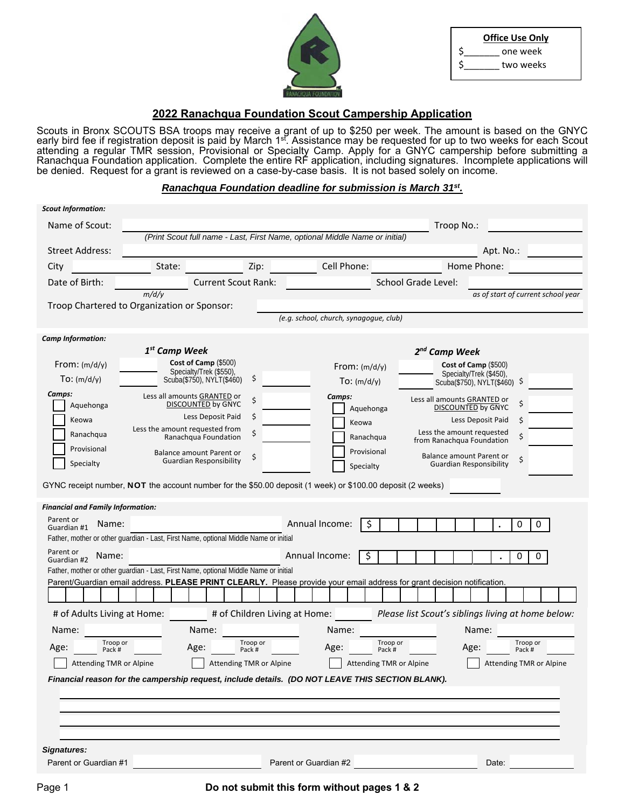|    | <b>Office Use Only</b> |  |  |  |  |  |  |  |
|----|------------------------|--|--|--|--|--|--|--|
| \$ | one week               |  |  |  |  |  |  |  |
| Ś  | two weeks              |  |  |  |  |  |  |  |

# **2022 Ranachqua Foundation Scout Campership Application**

Scouts in Bronx SCOUTS BSA troops may receive a grant of up to \$250 per week. The amount is based on the GNYC early bird fee if registration deposit is paid by March 1<sup>st</sup>. Assistance may be requested for up to two weeks for each Scout attending a regular TMR session, Provisional or Specialty Camp. Apply for a GNYC campership before submitting a Ranachqua Foundation application. Complete the entire RF application, including signatures. Incomplete applications will be denied. Request for a grant is reviewed on a case-by-case basis. It is not based solely on income.

## *Ranachqua Foundation deadline for submission is March 31st.*

| <b>Scout Information:</b>                |                                                                                                                         |                               |                                                                             |                                                        |                                                                  |
|------------------------------------------|-------------------------------------------------------------------------------------------------------------------------|-------------------------------|-----------------------------------------------------------------------------|--------------------------------------------------------|------------------------------------------------------------------|
| Name of Scout:                           |                                                                                                                         |                               |                                                                             | Troop No.:                                             |                                                                  |
|                                          |                                                                                                                         |                               | (Print Scout full name - Last, First Name, optional Middle Name or initial) |                                                        |                                                                  |
| <b>Street Address:</b>                   |                                                                                                                         |                               |                                                                             |                                                        | Apt. No.:                                                        |
| City                                     | State:                                                                                                                  | Zip:                          | Cell Phone:                                                                 |                                                        | Home Phone:                                                      |
| Date of Birth:                           |                                                                                                                         | <b>Current Scout Rank:</b>    |                                                                             | School Grade Level:                                    |                                                                  |
|                                          | m/d/y                                                                                                                   |                               |                                                                             |                                                        | as of start of current school year                               |
|                                          | Troop Chartered to Organization or Sponsor:                                                                             |                               | (e.g. school, church, synagogue, club)                                      |                                                        |                                                                  |
|                                          |                                                                                                                         |                               |                                                                             |                                                        |                                                                  |
| <b>Camp Information:</b>                 | 1 <sup>st</sup> Camp Week                                                                                               |                               |                                                                             | 2 <sup>nd</sup> Camp Week                              |                                                                  |
| From: $(m/d/y)$                          | Cost of Camp (\$500)                                                                                                    |                               | From: $(m/d/y)$                                                             |                                                        | Cost of Camp $(\$500)$                                           |
| To: (m/d/y)                              | Specialty/Trek (\$550),<br>Scuba(\$750), NYLT(\$460)                                                                    | \$                            | To: (m/d/y)                                                                 |                                                        | Specialty/Trek (\$450),<br>Scuba(\$750), NYLT(\$460) \$          |
| Camps:                                   |                                                                                                                         |                               |                                                                             |                                                        |                                                                  |
| Aquehonga                                | Less all amounts GRANTED or<br><b>DISCOUNTED by GNYC</b>                                                                | \$                            | Camps:<br>Aquehonga                                                         | Less all amounts GRANTED or                            | \$<br><b>DISCOUNTED by GNYC</b>                                  |
| Keowa                                    | Less Deposit Paid                                                                                                       | \$                            | Keowa                                                                       |                                                        | \$<br>Less Deposit Paid                                          |
| Ranachqua                                | Less the amount requested from<br>Ranachqua Foundation                                                                  | Ś                             | Ranachqua                                                                   | Less the amount requested<br>from Ranachqua Foundation | \$                                                               |
| Provisional                              | Balance amount Parent or                                                                                                |                               | Provisional                                                                 |                                                        |                                                                  |
| Specialty                                | <b>Guardian Responsibility</b>                                                                                          | \$                            | Specialty                                                                   |                                                        | Balance amount Parent or<br>\$<br><b>Guardian Responsibility</b> |
|                                          | GYNC receipt number, NOT the account number for the \$50.00 deposit (1 week) or \$100.00 deposit (2 weeks)              |                               |                                                                             |                                                        |                                                                  |
|                                          |                                                                                                                         |                               |                                                                             |                                                        |                                                                  |
| <b>Financial and Family Information:</b> |                                                                                                                         |                               |                                                                             |                                                        |                                                                  |
| Parent or<br>Name:<br>Guardian #1        |                                                                                                                         |                               | Annual Income:<br>\$                                                        |                                                        | 0<br>$\mathbf 0$                                                 |
|                                          | Father, mother or other quardian - Last, First Name, optional Middle Name or initial                                    |                               |                                                                             |                                                        |                                                                  |
| Parent or<br>Name:<br>Guardian #2        |                                                                                                                         |                               | Annual Income:<br>\$                                                        |                                                        | 0<br>0                                                           |
|                                          | Father, mother or other guardian - Last, First Name, optional Middle Name or initial                                    |                               |                                                                             |                                                        |                                                                  |
|                                          | Parent/Guardian email address. PLEASE PRINT CLEARLY. Please provide your email address for grant decision notification. |                               |                                                                             |                                                        |                                                                  |
|                                          |                                                                                                                         |                               |                                                                             |                                                        |                                                                  |
| # of Adults Living at Home:              |                                                                                                                         | # of Children Living at Home: |                                                                             |                                                        | Please list Scout's siblings living at home below:               |
| Name:                                    | Name:                                                                                                                   |                               | Name:                                                                       |                                                        | Name:                                                            |
| Troop or<br>Age:<br>Pack #               | Age:                                                                                                                    | Troop or<br>Pack #            | Troop or<br>Age:<br>Pack #                                                  |                                                        | Troop or<br>Age:<br>Pack #                                       |
| Attending TMR or Alpine                  |                                                                                                                         | Attending TMR or Alpine       | Attending TMR or Alpine                                                     |                                                        | Attending TMR or Alpine                                          |
|                                          | Financial reason for the campership request, include details. (DO NOT LEAVE THIS SECTION BLANK).                        |                               |                                                                             |                                                        |                                                                  |
|                                          |                                                                                                                         |                               |                                                                             |                                                        |                                                                  |
|                                          |                                                                                                                         |                               |                                                                             |                                                        |                                                                  |
|                                          |                                                                                                                         |                               |                                                                             |                                                        |                                                                  |
|                                          |                                                                                                                         |                               |                                                                             |                                                        |                                                                  |
| Signatures:                              |                                                                                                                         |                               |                                                                             |                                                        |                                                                  |
| Parent or Guardian #1                    |                                                                                                                         |                               | Parent or Guardian #2                                                       |                                                        | Date:                                                            |